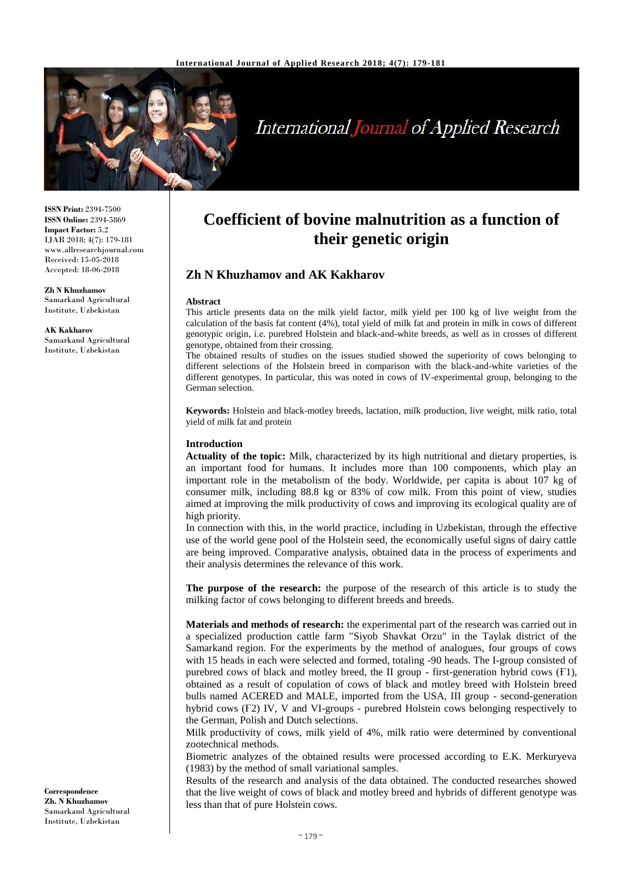

# **International Journal of Applied Research**

**ISSN Print:** 2394-7500 **ISSN Online:** 2394-5869 **Impact Factor:** 5.2 IJAR 2018; 4(7): 179-181 www.allresearchjournal.com Received: 15-05-2018 Accepted: 18-06-2018

**Zh N Khuzhamov** Samarkand Agricultural Institute, Uzbekistan

**AK Kakharov** Samarkand Agricultural Institute, Uzbekistan

## **Coefficient of bovine malnutrition as a function of their genetic origin**

### **Zh N Khuzhamov and AK Kakharov**

#### **Abstract**

This article presents data on the milk yield factor, milk yield per 100 kg of live weight from the calculation of the basis fat content (4%), total yield of milk fat and protein in milk in cows of different genotypic origin, i.е. purebred Holstein and black-and-white breeds, as well as in crosses of different genotype, obtained from their crossing.

The obtained results of studies on the issues studied showed the superiority of cows belonging to different selections of the Holstein breed in comparison with the black-and-white varieties of the different genotypes. In particular, this was noted in cows of IV-experimental group, belonging to the German selection.

**Keywords:** Holstein and black-motley breeds, lactation, milk production, live weight, milk ratio, total yield of milk fat and protein

#### **Introduction**

**Actuality of the topic:** Milk, characterized by its high nutritional and dietary properties, is an important food for humans. It includes more than 100 components, which play an important role in the metabolism of the body. Worldwide, per capita is about 107 kg of consumer milk, including 88.8 kg or 83% of cow milk. From this point of view, studies aimed at improving the milk productivity of cows and improving its ecological quality are of high priority.

In connection with this, in the world practice, including in Uzbekistan, through the effective use of the world gene pool of the Holstein seed, the economically useful signs of dairy cattle are being improved. Comparative analysis, obtained data in the process of experiments and their analysis determines the relevance of this work.

**The purpose of the research:** the purpose of the research of this article is to study the milking factor of cows belonging to different breeds and breeds.

**Materials and methods of research:** the experimental part of the research was carried out in a specialized production cattle farm "Siyob Shavkat Orzu" in the Taylak district of the Samarkand region. For the experiments by the method of analogues, four groups of cows with 15 heads in each were selected and formed, totaling -90 heads. The I-group consisted of purebred cows of black and motley breed, the II group - first-generation hybrid cows (Ғ1), obtained as a result of copulation of cows of black and motley breed with Holstein breed bulls named ACERED and MALE, imported from the USA, III group - second-generation hybrid cows (F2) IV, V and VI-groups - purebred Holstein cows belonging respectively to the German, Polish and Dutch selections.

Milk productivity of cows, milk yield of 4%, milk ratio were determined by conventional zootechnical methods.

Biometric analyzes of the obtained results were processed according to E.K. Merkuryeva (1983) by the method of small variational samples.

Results of the research and analysis of the data obtained. The conducted researches showed that the live weight of cows of black and motley breed and hybrids of different genotype was less than that of pure Holstein cows.

**Correspondence Zh. N Khuzhamov** Samarkand Agricultural Institute, Uzbekistan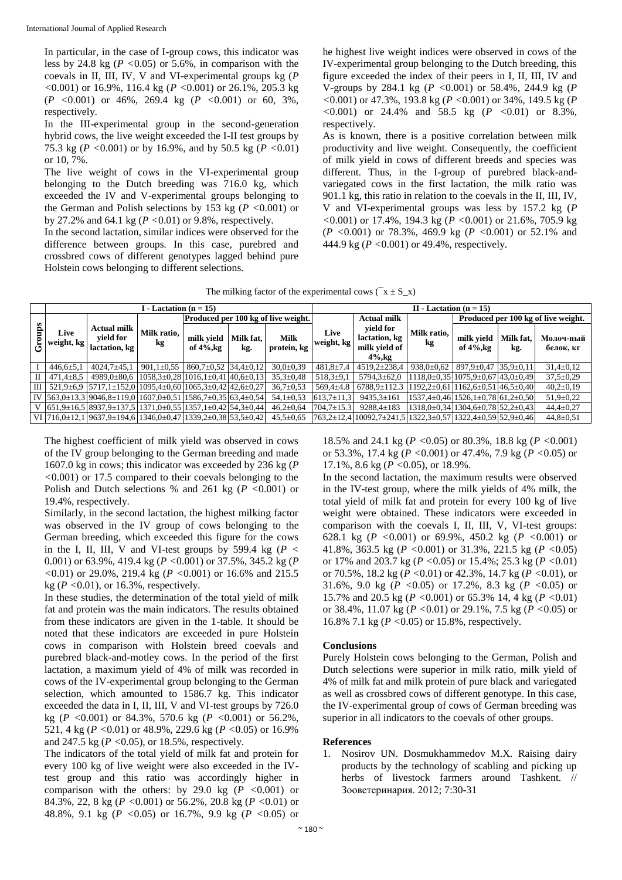In particular, in the case of I-group cows, this indicator was less by 24.8 kg (*P <*0.05) or 5.6%, in comparison with the coevals in II, III, IV, V and VI-experimental groups kg (*P <*0.001) or 16.9%, 116.4 kg (*P <*0.001) or 26.1%, 205.3 kg (*P <*0.001) or 46%, 269.4 kg (*P <*0.001) or 60, 3%, respectively.

In the III-experimental group in the second-generation hybrid cows, the live weight exceeded the I-II test groups by 75.3 kg (*P <*0.001) or by 16.9%, and by 50.5 kg (*P <*0.01) or 10, 7%.

The live weight of cows in the VI-experimental group belonging to the Dutch breeding was 716.0 kg, which exceeded the IV and V-experimental groups belonging to the German and Polish selections by 153 kg (*P <*0.001) or by 27.2% and 64.1 kg (*P <*0.01) or 9.8%, respectively.

In the second lactation, similar indices were observed for the difference between groups. In this case, purebred and crossbred cows of different genotypes lagged behind pure Holstein cows belonging to different selections.

he highest live weight indices were observed in cows of the IV-experimental group belonging to the Dutch breeding, this figure exceeded the index of their peers in I, II, III, IV and V-groups by 284.1 kg (*P <*0.001) or 58.4%, 244.9 kg (*P <*0.001) or 47.3%, 193.8 kg (*P <*0.001) or 34%, 149.5 kg (*P <*0.001) or 24.4% and 58.5 kg (*P <*0.01) or 8.3%, respectively.

As is known, there is a positive correlation between milk productivity and live weight. Consequently, the coefficient of milk yield in cows of different breeds and species was different. Thus, in the I-group of purebred black-andvariegated cows in the first lactation, the milk ratio was 901.1 kg, this ratio in relation to the coevals in the II, III, IV, V and VI-experimental groups was less by 157.2 kg (*P <*0.001) or 17.4%, 194.3 kg (*P <*0.001) or 21.6%, 705.9 kg (*P <*0.001) or 78.3%, 469.9 kg (*P <*0.001) or 52.1% and 444.9 kg (*P <*0.001) or 49.4%, respectively.

| The milking factor of the experimental cows ( $x \pm S_{X}$ ) |  |  |  |
|---------------------------------------------------------------|--|--|--|
|                                                               |  |  |  |

|      | I - Lactation (n = $15$ ) |                                                                                                                      |                   |                                               |                  |                            | $II$ - Lactation (n = 15) |                                                             |                                                   |                                                     |                  |                        |  |
|------|---------------------------|----------------------------------------------------------------------------------------------------------------------|-------------------|-----------------------------------------------|------------------|----------------------------|---------------------------|-------------------------------------------------------------|---------------------------------------------------|-----------------------------------------------------|------------------|------------------------|--|
| sdno | Live<br>weight, kg        | <b>Actual milk</b><br>vield for<br>lactation, kg                                                                     | Milk ratio,<br>kg | <b>Produced per 100 kg of live weight.</b>    |                  |                            | <b>Actual milk</b>        |                                                             | Produced per 100 kg of live weight.               |                                                     |                  |                        |  |
|      |                           |                                                                                                                      |                   | milk vield<br>of $4\%$ , kg                   | Milk fat.<br>kg. | <b>Milk</b><br>protein, kg | Live<br>weight, kg        | vield for<br>lactation, kg<br>milk vield of<br>$4\%$ . $kq$ | Milk ratio,<br>kg                                 | milk vield<br>of $4\%$ , kg                         | Milk fat,<br>kg. | Молоч-ный<br>белок, кг |  |
|      | $446,6 \pm 5,1$           | $4024.7 + 45.1$                                                                                                      | $901,1\pm0.55$    | $860,7\pm0.52$                                | $34.4 \pm 0.12$  | $30.0 \pm 0.39$            | $481,8 \pm 7.4$           | 4519,2±238,4                                                | $938,0 \pm 0.62$                                  | $897.9 \pm 0.47$                                    | $35,9 \pm 0,11$  | $31,4\pm0.12$          |  |
|      | $471.4 \pm 8.5$           | $4989.0 \pm 80.6$                                                                                                    |                   | $1058,3\pm0.28$ $1016,1\pm0.41$ $40,6\pm0.13$ |                  | $35.3 \pm 0.48$            | $518,3+9,1$               | $5794,3 \pm 62,0$                                           |                                                   | $1118.0 \pm 0.35$ 1075.9 $\pm 0.67$ 43.0 $\pm 0.49$ |                  | $37.5 \pm 0.29$        |  |
| Ш    |                           | $521.9 \pm 6.9$ $\left[ 5717.1 \pm 152.0 \right]$ $1095.4 \pm 0.60$ $\left[ 1065.3 \pm 0.42 \right]$ $42.6 \pm 0.27$ |                   |                                               |                  | $36,7{\pm}0.53$            | $569.4 \pm 4.8$           | $6788.9 \pm 112.3$                                          | $1192,2\pm0.61$ 1162,6 $\pm$ 0.51 46,5 $\pm$ 0.40 |                                                     |                  | $40,2{\pm}0.19$        |  |
|      |                           | IV $\left[563,0\pm13,3\right]9046,8\pm119,0\left[1607,0\pm0.51\right]1586,7\pm0.35\right]63,4\pm0.54$                |                   |                                               |                  | $54.1 \pm 0.53$            | $613,7 \pm 11,3$          | $9435,3 \pm 161$                                            |                                                   | $1537,4\pm0,46$ 1526, 1 $\pm0.78$ 61, 2 $\pm0.50$   |                  | $51,9 \pm 0.22$        |  |
|      |                           | $(651.9\pm16.5)$ 8937.9 $\pm$ 137.5 1371.0 $\pm$ 0.55 1357.1 $\pm$ 0.42 54.3 $\pm$ 0.44                              |                   |                                               |                  | $46,2{\pm}0,64$            | $704.7 \pm 15.3$          | $9288,4 \pm 183$                                            |                                                   | $1318,0 \pm 0.34$ 1304,6 $\pm 0.78$ 52,2 $\pm 0.43$ |                  | $44.4 \pm 0.27$        |  |
|      |                           | VI $ 716,0\pm12,1 9637,9\pm194,6 1346,0\pm0,47 1339,2\pm0,38 53,5\pm0,42 $                                           |                   |                                               |                  | $45,5 \pm 0.65$            |                           | 763,2±12,4 10092,7±241,5 1322,3±0,57 1322,4±0,59 52,9±0,46  |                                                   |                                                     |                  | $44,8 \pm 0.51$        |  |

The highest coefficient of milk yield was observed in cows of the IV group belonging to the German breeding and made 1607.0 kg in cows; this indicator was exceeded by 236 kg (*P <*0.001) or 17.5 compared to their coevals belonging to the Polish and Dutch selections % and 261 kg (*P <*0.001) or 19.4%, respectively.

Similarly, in the second lactation, the highest milking factor was observed in the IV group of cows belonging to the German breeding, which exceeded this figure for the cows in the I, II, III, V and VI-test groups by 599.4 kg ( $P <$ 0.001) or 63.9%, 419.4 kg (*P <*0.001) or 37.5%, 345.2 kg (*P <*0.01) or 29.0%, 219.4 kg (*P <*0.001) or 16.6% and 215.5 kg (*P <*0.01), or 16.3%, respectively.

In these studies, the determination of the total yield of milk fat and protein was the main indicators. The results obtained from these indicators are given in the 1-table. It should be noted that these indicators are exceeded in pure Holstein cows in comparison with Holstein breed coevals and purebred black-and-motley cows. In the period of the first lactation, a maximum yield of 4% of milk was recorded in cows of the IV-experimental group belonging to the German selection, which amounted to 1586.7 kg. This indicator exceeded the data in I, II, III, V and VI-test groups by 726.0 kg (*P <*0.001) or 84.3%, 570.6 kg (*P <*0.001) or 56.2%, 521, 4 kg (*P <*0.01) or 48.9%, 229.6 kg (*P <*0.05) or 16.9% and 247.5 kg (*P <*0.05), or 18.5%, respectively.

The indicators of the total yield of milk fat and protein for every 100 kg of live weight were also exceeded in the IVtest group and this ratio was accordingly higher in comparison with the others: by 29.0 kg (*P <*0.001) or 84.3%, 22, 8 kg (*P <*0.001) or 56.2%, 20.8 kg (*P <*0.01) or 48.8%, 9.1 kg (*P <*0.05) or 16.7%, 9.9 kg (*P <*0.05) or 18.5% and 24.1 kg (*P <*0.05) or 80.3%, 18.8 kg (*P <*0.001) or 53.3%, 17.4 kg (*P <*0.001) or 47.4%, 7.9 kg (*P <*0.05) or 17.1%, 8.6 kg (*P <*0.05), or 18.9%.

In the second lactation, the maximum results were observed in the IV-test group, where the milk yields of 4% milk, the total yield of milk fat and protein for every 100 kg of live weight were obtained. These indicators were exceeded in comparison with the coevals I, II, III, V, VI-test groups: 628.1 kg (*P <*0.001) or 69.9%, 450.2 kg (*P <*0.001) or 41.8%, 363.5 kg (*P <*0.001) or 31.3%, 221.5 kg (*P <*0.05) or 17% and 203.7 kg (*P <*0.05) or 15.4%; 25.3 kg (*P <*0.01) or 70.5%, 18.2 kg (*P <*0.01) or 42.3%, 14.7 kg (*P <*0.01), or 31.6%, 9.0 kg (*P <*0.05) or 17.2%, 8.3 kg (*P <*0.05) or 15.7% and 20.5 kg (*P <*0.001) or 65.3% 14, 4 kg (*P <*0.01) or 38.4%, 11.07 kg (*P <*0.01) or 29.1%, 7.5 kg (*P <*0.05) or 16.8% 7.1 kg (*P <*0.05) or 15.8%, respectively.

#### **Conclusions**

Purely Holstein cows belonging to the German, Polish and Dutch selections were superior in milk ratio, milk yield of 4% of milk fat and milk protein of pure black and variegated as well as crossbred cows of different genotype. In this case, the IV-experimental group of cows of German breeding was superior in all indicators to the coevals of other groups.

#### **References**

1. Nosirov UN. Dosmukhammedov M.X. Raising dairy products by the technology of scabling and picking up herbs of livestock farmers around Tashkent. // Зооветеринария. 2012; 7:30-31